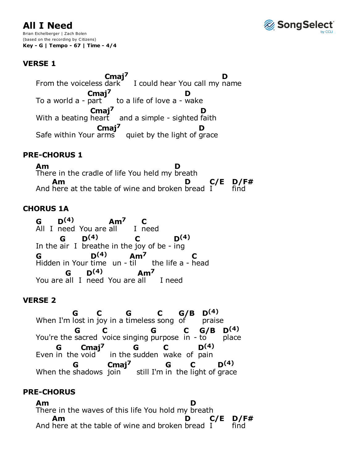# **All I Need**

Brian Eichelberger | Zach Bolen (based on the recording by Citizens) **Key - G | Tempo - 67 | Time - 4/4**

# **VERSE 1**

From the voiceless dark $\blacksquare$  I could hear You call my name To a world  $a$  - part  $\bullet$  to a life of love  $a$  - wake With a beating heart  $\Box$  and a simple - sighted faith Safe within Your  $arms$  quiet by the light of grace From the voiceless dark **Cmaj7 D** To a world a - part **Cmaj7 D** With a beating heart **Cmaj7 D Cmaj7 D**

## **PRE-CHORUS 1**

There in the cradle of life You held my breath And here at the table of wine and broken **Am D Am** bread **D** I **C/E** find **D/F#**

## **CHORUS 1A**

All I need You are all I In the air I breathe in the joy of be - ing Hidden in Your time un - til the life a - head You are all I need You are all I need **G D(4) Am7** I need **C G D(4) C D(4) G D(4) Am7 C G D(4) Am7**

### **VERSE 2**

When I'm lost in joy in a timeless song of You're the sacred voice singing purpose in - to Even in the void  $\overline{\phantom{a}}$  in the sudden wake of pain When the shadows join still I'm in the light of grace **G C G C G/B D(4)** praise **G C G C G/B** place **D(4)** in the void **G Cmaj7 G C D(4) G Cmaj7 G C D(4)**

## **PRE-CHORUS**

There in the waves of this life You hold my breath And here at the table of wine and broken bread  $I$ **Am D Am D C/E** find **D/F#**